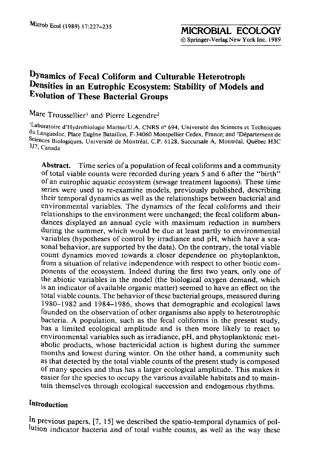# **DYnamics of Fecal Coliform and Culturable Heterotroph Densities in an Eutrophic Ecosystem: Stability of Models and Evolution of These Bacterial Groups**

Marc Troussellier<sup>1</sup> and Pierre Legendre<sup>2</sup>

<sup>1</sup>Laboratoire d'Hydrobiologie Marine/U.A. CNRS n° 694, Université des Sciences et Techniques du Languedoc, Place Eugene Bataillon, F-34060 Montpellier Cedex, France; and 2D6partement de Sciences Biologiques, Université de Montréal, C.P. 6128, Succursale A, Montréal, Québec H3C 3J7, Canada

**Abstract.** Time series of a population of fecal coliforms and a community of total viable counts were recorded during years 5 and 6 after the "birth" of an eutrophic aquatic ecosystem (sewage treatment lagoons). These time series were used to re-examine models, previously published, describing their temporal dynamics as well as the relationships between bacterial and environmental variables. The dynamics of the fecal coliforms and their relationships to the environment were unchanged; the fecal coliform abundances displayed an annual cycle with maximum reduction in numbers during the summer, which would be due at least partly to environmental variables (hypotheses of control by irradiance and pH, which have a seasonal behavior, are supported by the data). On the contrary, the total viable count dynamics moved towards a closer dependence on phytoplankton, from a situation of relative independence with respect to other biotic components of the ecosystem. Indeed during the first two years, only one of the abiotic variables in the model (the biological oxygen demand, which is an indicator of available organic matter) seemed to have an effect on the total viable counts. The behavior of these bacterial groups, measured during 1980-1982 and 1984-1986, shows that demographic and ecological laws founded on the observation of other organisms also apply to heterotrophic bacteria. A population, such as the fecal coliforms in the present study, has a limited ecological amplitude and is then more likely to react to environmental variables such as irradiance, pH, and phytoplanktonic metabolic products, whose bactericidal action is highest during the summer months and lowest during winter. On the other hand, a community such as that detected by the total viable counts of the present study is composed of many species and thus has a larger ecological amplitude. This makes it easier for the species to occupy the various available habitats and to maintain themselves through ecological succession and endogenous rhythms.

## **Introduction**

In previous papers, [7, 15] we described the spatio-temporal dynamics of pollution indicator bacteria and of total viable counts, as well as the way these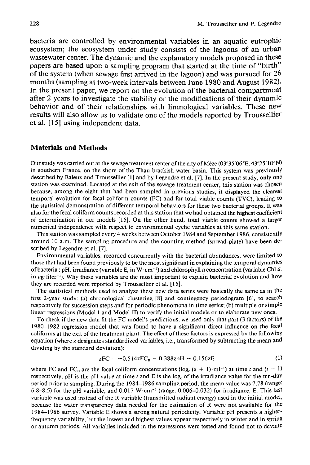bacteria are controlled by environmental variables in an aquatic eutrophic ecosystem; the ecosystem under study consists of the lagoons of an urban wastewater center. The dynamic and the explanatory models proposed in these papers are based upon a sampling program that started at the time of "birth" of the system (when sewage first arrived in the lagoon) and was pursued for 26 months (sampling at two-week intervals between June 1980 and August 1982). In the present paper, we report on the evolution of the bacterial compartment after 2 years to investigate the stability or the modifications of their dynamic behavior and of their relationships with limnological variables. These neW results will also allow us to validate one of the models reported by Troussellier et al. [15] using independent data.

#### **Materials and Methods**

Our study was carried out at the sewage treatment center of the city of Mèze (03°35′06″E, 43°25′10″N) in southern France, on the shore of the Thau brackish water basin. This system was previously described by Baleux and Troussellier [1] and by Legendre et al. [7]. In the present study, only one station was examined. Located at the exit of the sewage treatment center, this station was chosen because, among the eight that had been sampled in previous studies, it displayed the clearest temporal evolution for fecal coliform counts (FC) and for total viable counts (TVC), leading to the statistical demonstration of different temporal behaviors for these two bacterial groups. It was also for the fecal coliform counts recorded at this station that we had obtained the highest coefficient of determination in our models [15]. On the other hand, total viable counts showed a larger numerical independence with respect to environmental cyclic variables at this same station.

This station was sampled every 4 weeks between October 1984 and September 1986, consistently around 10 a.m. The sampling procedure and the counting method (spread-plate) have been described by Legendre et al. [7].

Environmental variables, recorded concurrently with the bacterial abundances, were limited to those that had been found previously to be the most significant in explaining the temporal dynamics of bacteria : pH, irradiance (variable E, in W·cm<sup>-2</sup>) and chlorophyll a concentration (variable Chl  $a$ , in  $\mu$ g-liter<sup>-1</sup>). Why these variables are the most important to explain bacterial evolution and how they are recorded were reported by Troussellier et al. [15].

The statistical methods used to analyze these new data series were basically the same as in the first 2-year study: (a) chronological clustering [8] and contingency periodogram [6], to search respectively for succession steps and for periodic phenomena in time series; (b) multiple or simple linear regressions (Model I and Model II) to verify the initial models or to elaborate new ones.

To check if the new data fit the FC model's predictions, we used only that part (3 factors) of the 1980-1982 regression model that was found to have a significant direct influence on the fecal coliforms at the exit of the treatment plant. The effect of these factors is expressed by the following equation (where z designates standardized variables, i.e., transformed by subtracting the mean and dividing by the standard deviation):

$$
zFC = +0.514zFC_B - 0.388zpH - 0.156zE \tag{1}
$$

where FC and FC<sub>B</sub> are the fecal coliform concentrations (log<sub>c</sub>  $(x + 1)$  $ml<sup>-1</sup>$ ) at time t and  $(t - 1)$ respectively, pH is the pH value at time t and E is the log<sub>e</sub> of the irradiance value for the ten-day period prior to sampling. During the 1984-1986 sampling period, the mean value was 7.78 (range: 6.8-8.5) for the pH variable, and 0.017 W $\cdot$ cm<sup>-2</sup> (range: 0.006-0.032) for irradiance, E. This last variable was used instead of the R variable (transmitted radiant energy) used in the initial model, because the water transparency data needed for the estimation of R were not available for the 1984-1986 survey. Variable E shows a strong natural periodicity. Variable pH presents a higherfrequency variability, but the lowest and highest values appear respectively in winter and in spring or autumn periods. All variables included in the regressions were tested and found not to deviate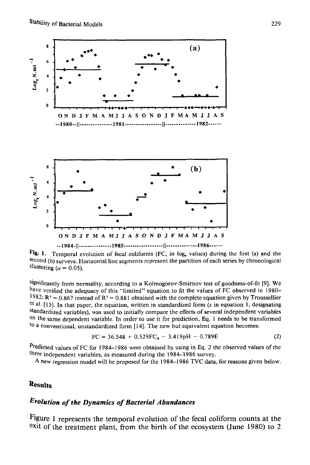

Fig. 1. Temporal evolution of fecal coliforms (FC, in log<sub>c</sub> values) during the first (a) and the second (b) surveys. Horizontal line segments represent the partition of each series by chronological clustering ( $\alpha$  = 0.05).

significantly from normality, according to a Kolmogorov-Smirnov test of goodness-of-fit [9]. We have verified the adequacy of this "limited" equation to fit the values of FC observed in 1980- 1982:  $R^2 = 0.867$  instead of  $R^2 = 0.881$  obtained with the complete equation given by Troussellier et al. [15]. In that paper, the equation, written in standardized form (z in equation 1, designating standardized variables), was used to initially compare the effects of several independent variables on the same dependent variable. In order to use it for prediction, Eq. 1 needs to be transformed to a conventional, unstandardized form [14]. The new but equivalent equation becomes:

$$
FC = 36.548 + 0.529FCB - 3.419pH - 0.789E
$$
 (2)

Predicted values of FC for 1984–1986 were obtained by using in Eq. 2 the observed values of the three independent variables, as measured during the 1984-1986 survey.

A new regression model will be proposed for the 1984-1986 TVC data, for reasons given below.

## **Results**

#### *Evolution of the Dynamics of Bacterial Abundances*

Figure 1 represents the temporal evolution of the fecal coliform counts at the exit of the treatment plant, from the birth of the ecosystem (June 1980) to 2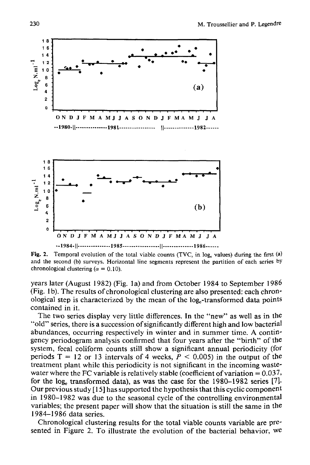

**Fig. 2.**  Temporal evolution of the total viable counts (TVC, in  $log_e$  values) during the first (a) and the second (b) surveys. Horizontal line segments represent the partition of each series by chronological clustering ( $\alpha = 0.10$ ).

years later (August 1982) (Fig. la) and from October 1984 to September 1986 (Fig. lb). The results of chronological clustering are also presented: each chronological step is characterized by the mean of the log<sub>e</sub>-transformed data points contained in it.

The two series display very little differences. In the "new" as well as in the "old" series, there is a succession of significantly different high and low bacterial abundances, occurring respectively in winter and in summer time. A contingency periodogram analysis confirmed that four years after the "birth" of the system, fecal coliform counts still show a significant annual periodicity (for periods  $T = 12$  or 13 intervals of 4 weeks,  $P < 0.005$  in the output of the treatment plant while this periodicity is not significant in the incoming wastewater where the FC variable is relatively stable (coefficient of variation  $= 0.037$ , for the log<sub>c</sub> transformed data), as was the case for the  $1980-1982$  series [7]. Our previous study  $[15]$  has supported the hypothesis that this cyclic component in 1980-1982 was due to the seasonal cycle of the controlling environmental variables; the present paper will show that the situation is still the same in the **1984-1986** data series.

Chronological clustering results for the total viable counts variable are presented in Figure 2. To illustrate the evolution of the bacterial behavior, we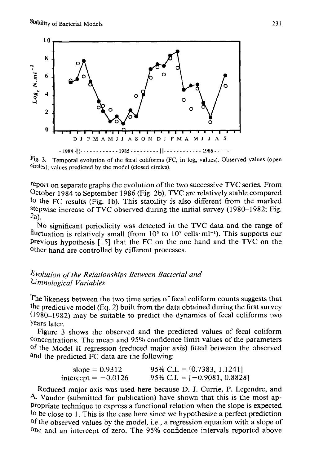

Fig. 3. Temporal evolution of the fecal coliforms (FC, in log<sub>e</sub> values). Observed values (open circles); values predicted by the model (closed circles).

report on separate graphs the evolution of the two successive TVC series. From October 1984 to September 1986 (Fig. 2b), TVC are relatively stable compared to the FC results (Fig. 1b). This stability is also different from the marked Stepwise increase of TVC observed during the initial survey (1980-1982; Fig. 2a).

No significant periodicity was detected in the TVC data and the range of fluctuation is relatively small (from  $10^5$  to  $10^7$  cells $\cdot$ ml<sup>-1</sup>). This supports our previous hypothesis [15] that the FC on the one hand and the TVC on the Other hand are controlled by different processes.

### *Evolution of the Relationships Between Bacterial and Limnological Variables*

The likeness between the two time series of fecal coliform counts suggests that the predictive model (Eq. 2) built from the data obtained during the first survey (1980-1982) may be suitable to predict the dynamics of fecal coliforms two Years later.

Figure 3 shows the observed and the predicted values of fecal coliform Concentrations. The mean and 95% confidence limit values of the parameters of the Model II regression (reduced major axis) fitted between the observed and the predicted FC data are the following:

| slope $= 0.9312$      | 95% C.I. = $[0.7383, 1.1241]$  |
|-----------------------|--------------------------------|
| intercept $= -0.0126$ | 95% C.I. = $[-0.9081, 0.8828]$ |

Reduced major axis was used here because D. J. Currie, P. Legendre, and A. Vaudor (submitted for publication) have shown that this is the most ap-Propriate technique to express a functional relation when the slope is expected to be close to 1. This is the case here since we hypothesize a perfect prediction of the observed values by the model, i.e., a regression equation with a slope of One and an intercept of zero. The 95% confidence intervals reported above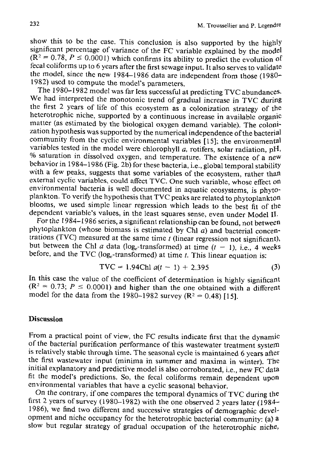show this to be the case. This conclusion is also supported by the highly significant percentage of variance of the FC variable explained by the model  $(R<sup>2</sup> = 0.78, P \le 0.0001)$  which confirms its ability to predict the evolution of fecal coliforms up to 6 years after the first sewage input. It also serves to validate the model, since the new 1984-1986 data are independent from those (1980- 1982) used to compute the model's parameters.

The 1980-1982 model was far less successful at predicting TVC abundances. We had interpreted the monotonic trend of gradual increase in TVC during the first 2 years of life of this ecosystem as a colonization strategy of the heterotrophic niche, supported by a continuous increase in available organic matter (as estimated by the biological oxygen demand variable). The colonization hypothesis was supported by the numerical independence of the bacterial community from the cyclic environmental variables [15]; the environmental variables tested in the model were chlorophyll  $a$ , rotifers, solar radiation, pH, % saturation in dissolved oxygen, and temperature. The existence of a new behavior in 1984-1986 (Fig. 2b) for these bacteria, i.e., global temporal stability with a few peaks, suggests that some variables of the ecosystem, rather than external cyclic variables, could affect TVC. One such variable, whose effect on environmental bacteria is well documented in aquatic ecosystems, is phytoplankton. To verify the hypothesis that TVC peaks are related to phytoplankton blooms, we used simple linear regression which leads to the best fit of the dependent variable's values, in the least squares sense, even under Model II.

For the 1984-1986 series, a significant relationship can be found, not between phytoplankton (whose biomass is estimated by Chl  $a$ ) and bacterial concentrations (TVC) measured at the same time  $t$  (linear regression not significant), but between the Chl a data (log<sub>-transformed)</sub> at time  $(t - 1)$ , i.e., 4 weeks before, and the TVC (log--transformed) at time  $t$ . This linear equation is:

$$
TVC = 1.94Chl \ a(t-1) + 2.395 \tag{3}
$$

In this case the value of the coefficient of determination is highly significant  $(R<sup>2</sup> = 0.73; P \le 0.0001)$  and higher than the one obtained with a different model for the data from the 1980-1982 survey ( $R^2 = 0.48$ ) [15].

#### **Discussion**

From a practical point of view, the FC results indicate first that the dynamic of the bacterial purification performance of this wastewater treatment system is relatively stable through time. The seasonal cycle is maintained 6 years after the first wastewater input (minima in summer and maxima in winter). The initial explanatory and predictive model is also corroborated, i.e., new FC data fit the model's predictions. So, the fecal coliforms remain dependent upon environmental variables that have a cyclic seasonal behavior.

On the contrary, if one compares the temporal dynamics of TVC during the first 2 years of survey (1980-1982) with the one observed 2 years later (1984-1986), we find two different and successive strategies of demographic development and niche occupancy for the heterotrophic bacterial community: (a) a slow but regular strategy of gradual occupation of the heterotrophic niche,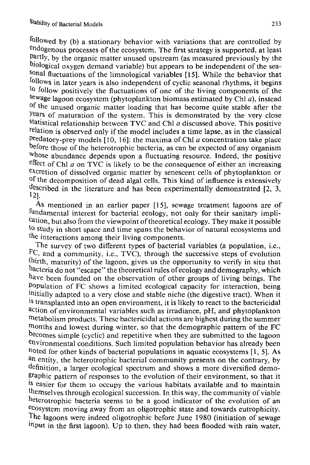followed by (b) a stationary behavior with variations that are controlled by endogenous processes of the ecosystem. The first strategy is supported, at least Partly, by the organic matter unused upstream (as measured previously by the biological oxygen demand variable) but appears to be independent of the sea-SOnal fluctuations of the limnological variables [15]. While the behavior that follows in later years is also independent of cyclic seasonal rhythms, it begins to follow positively the fluctuations of one of the living components of the  $s$ ewage lagoon ecosystem (phytoplankton biomass estimated by Chl  $a$ ), instead of the unused organic matter loading that has become quite stable after the Years of maturation of the system. This is demonstrated by the very close statistical relationship between TVC and Chl  $a$  discussed above. This positive relation is observed only if the model includes a time lapse, as in the classical predatory-prey models  $[10, 16]$ : the maxima of Chl a concentration take place before those of the heterotrophic bacteria, as can be expected of any organism whose abundance depends upon a fluctuating resource. Indeed, the positive effect of Chl  $a$  on TVC is likely to be the consequence of either an increasing excretion of dissolved organic matter by senescent cells of phytoplankton or of the decomposition of dead algal cells. This kind of influence is extensively described in the literature and has been experimentally demonstrated [2, 3, 121.

As mentioned in an earlier paper [15], sewage treatment lagoons are of fundamental interest for bacterial ecology, not only for their sanitary implication, but also from the viewpoint of theoretical ecology. They make it possible to study in short space and time spans the behavior of natural ecosystems and the interactions among their living components.

The survey of two different types of bacterial variables (a population, i.e., FC, and a community, i.e., TVC), through the successive steps of evolution (birth, maturity) of the lagoon, gives us the opportunity to verify in situ that bacteria do not "escape" the theoretical rules of ecology and demography, which have been founded on the observation of other groups of living beings. The Population of FC shows a limited ecological capacity for interaction, being !nitially adapted to a very close and stable niche (the digestive tract). When it <sup>is</sup> transplanted into an open environment, it is likely to react to the bactericidal action of environmental variables such as irradiance, pH, and phytoplankton metabolism products. These bactericidal actions are highest during the summer months and lowest during winter, so that the demographic pattern of the FC becomes simple (cyclic) and repetitive when they are submitted to the lagoon environmental conditions. Such limited population behavior has already been noted for other kinds of bacterial populations in aquatic ecosystems  $[1, 5]$ . As an entity, the heterotrophic bacterial community presents on the contrary, by definition, a larger ecological spectrum and shows a more diversified demographic pattern of responses to the evolution of their environment, so that it is easier for them to occupy the various habitats available and to maintain themselves through ecological succession. In this way, the community of viable heterotrophic bacteria seems to be a good indicator of the evolution of an ecosystem moving away from an oligotrophic state and towards eutrophicity. The lagoons were indeed oligotrophic before June 1980 (initiation of sewage input in the first lagoon). Up to then, they had been flooded with rain water,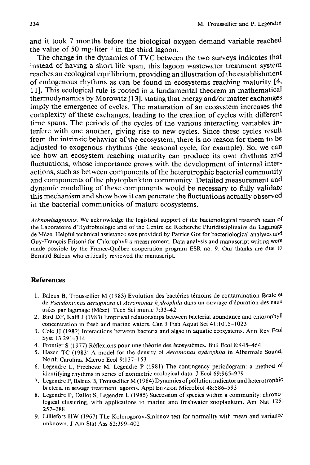and it took 7 months before the biological oxygen demand variable reached the value of 50 mg·liter<sup>-1</sup> in the third lagoon.

The change in the dynamics of TVC between the two surveys indicates that instead of having a short life span, this lagoon wastewater treatment system reaches an ecological equilibrium, providing an illustration of the establishment of endogenous rhythms as can be found in ecosystems reaching maturity  $[4, 4]$ 11 ]. This ecological rule is rooted in a fundamental theorem in mathematical thermodynamics by Morowitz [ 13], stating that energy and/or matter exchanges imply the emergence of cycles. The maturation of an ecosystem increases the complexity of these exchanges, leading to the creation of cycles with different time spans. The periods of the cycles of the various interacting variables interfere with one another, giving rise to new cycles. Since these cycles result from the intrinsic behavior of the ecosystem, there is no reason for them to be adjusted to exogenous rhythms (the seasonal cycle, for example). So, we can see how an ecosystem reaching maturity can produce its own rhythms and fluctuations, whose importance grows with the development of internal interactions, such as between components of the heterotrophic bacterial community and components of the phytoplankton community. Detailed measurement and dynamic modelling of these components would be necessary to fully validate this mechanism and show how it can generate the fluctuations actually observed in the bacterial communities of mature ecosystems.

*Acknowledgments.* We acknowledge the logistical support of the bacteriological research team of the Laboraloire d'Hydrobiologie and of the Centre de Recherche Pluridisciplinaire du Lagunage de Mèze. Helpful technical assistance was provided by Patrice Got for bacteriological analyses and Guy-François Frisoni for Chlorophyll a measurement. Data analysis and manuscript writing were made possible by the France-Québec cooperation program ESR no. 9. Our thanks are due to Bernard Baleux who critically reviewed the manuscript.

## **References**

- 1. Baleux B, Troussellier M (1983) Evolution des bactéries témoins de contamination fécale et de Pseudomonas aeruginosa et Aeromonas hydrophila dans un ouvrage d'épuration des eaux usées par lagunage (Mèze). Tech Sci munic 7:33-42
- 2. Bird DF, Kalff J (1983) Empirical relationships between bacterial abundance and chlorophyll concentration in fresh and marine waters. Can J Fish Aquat Sci 41:1015-1023
- 3. Cole JJ (1982) Interactions between bacteria and algae in aquatic ecosystems. Ann Rev Ecol Syst 13:291-314
- 4. Frontier S (1977) Réflexions pour une théorie des écosystèmes. Bull Ecol 8:445-464
- 5. Hazen TC (1983) A model for the density of *Aeromonas hydrophila* in Albermale Sound, North Carolina. Microb Ecol 9:137-153
- 6. Legendre L, Frechette M, Legendre P (1981) The contingency periodogram: a method of identifying rhythms in series of nonmetric ecological data. J Ecol 69:965-979
- 7. Legendre P, Baleux B, Troussellier M (1984) Dynamics of pollution indicator and heterotrophic bacteria in sewage treatment lagoons. Appl Environ Microbiol 48:586-593
- 8. Legendre P, Dallot S, Legendre L (1985) Succession of species within a community: chronological clustering, with applications to marine and freshwater zooplankton. Am Nat 125: 257-288
- 9. Lilliefors HW (1967) The Kolmogorov-Smirnov test for normality with mean and variance unknown. J Am Slat Ass 62:399-402